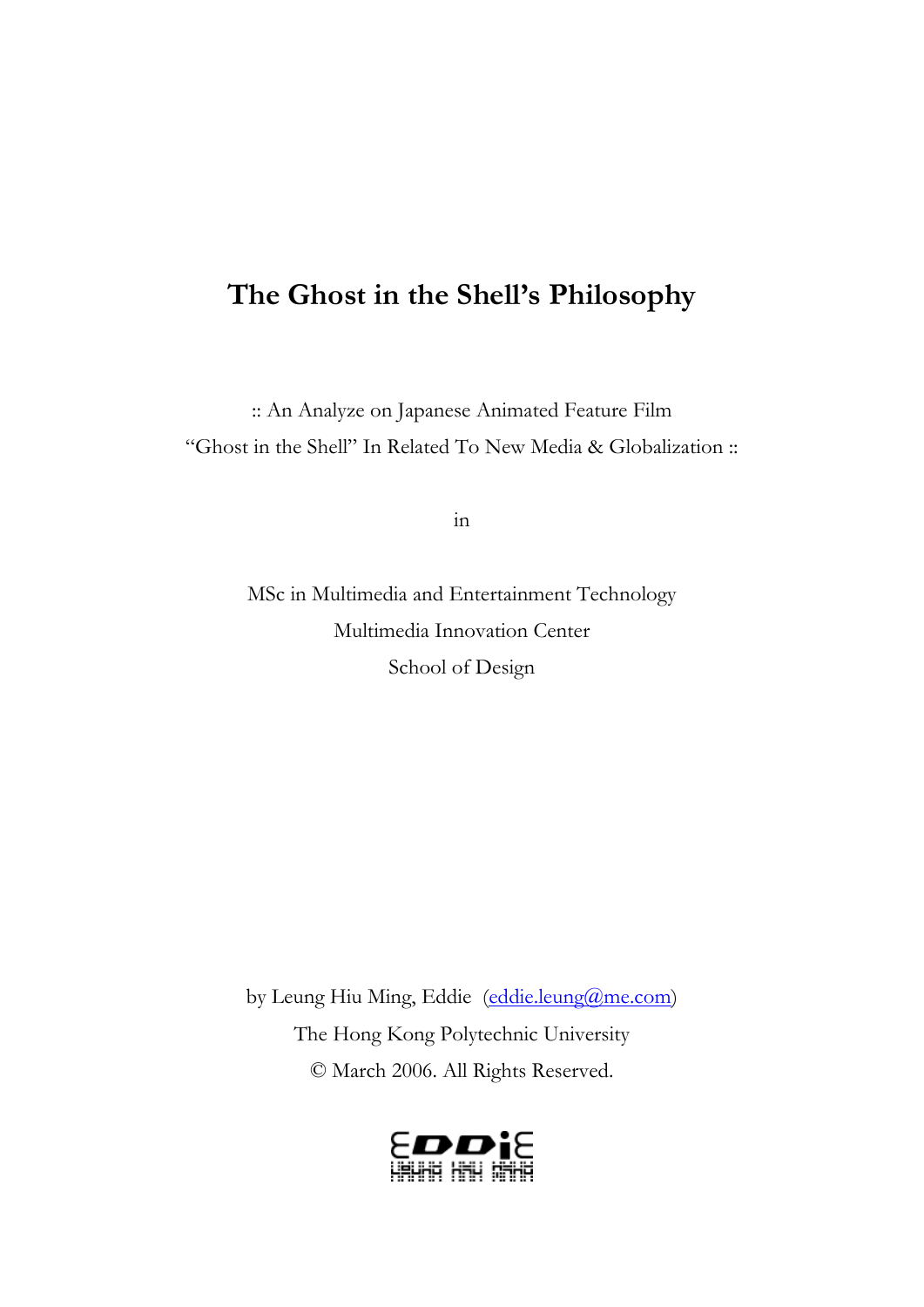# **The Ghost in the Shell's Philosophy**

:: An Analyze on Japanese Animated Feature Film "Ghost in the Shell" In Related To New Media & Globalization ::

in

MSc in Multimedia and Entertainment Technology Multimedia Innovation Center School of Design

by Leung Hiu Ming, Eddie (eddie.leung@me.com) The Hong Kong Polytechnic University © March 2006. All Rights Reserved.

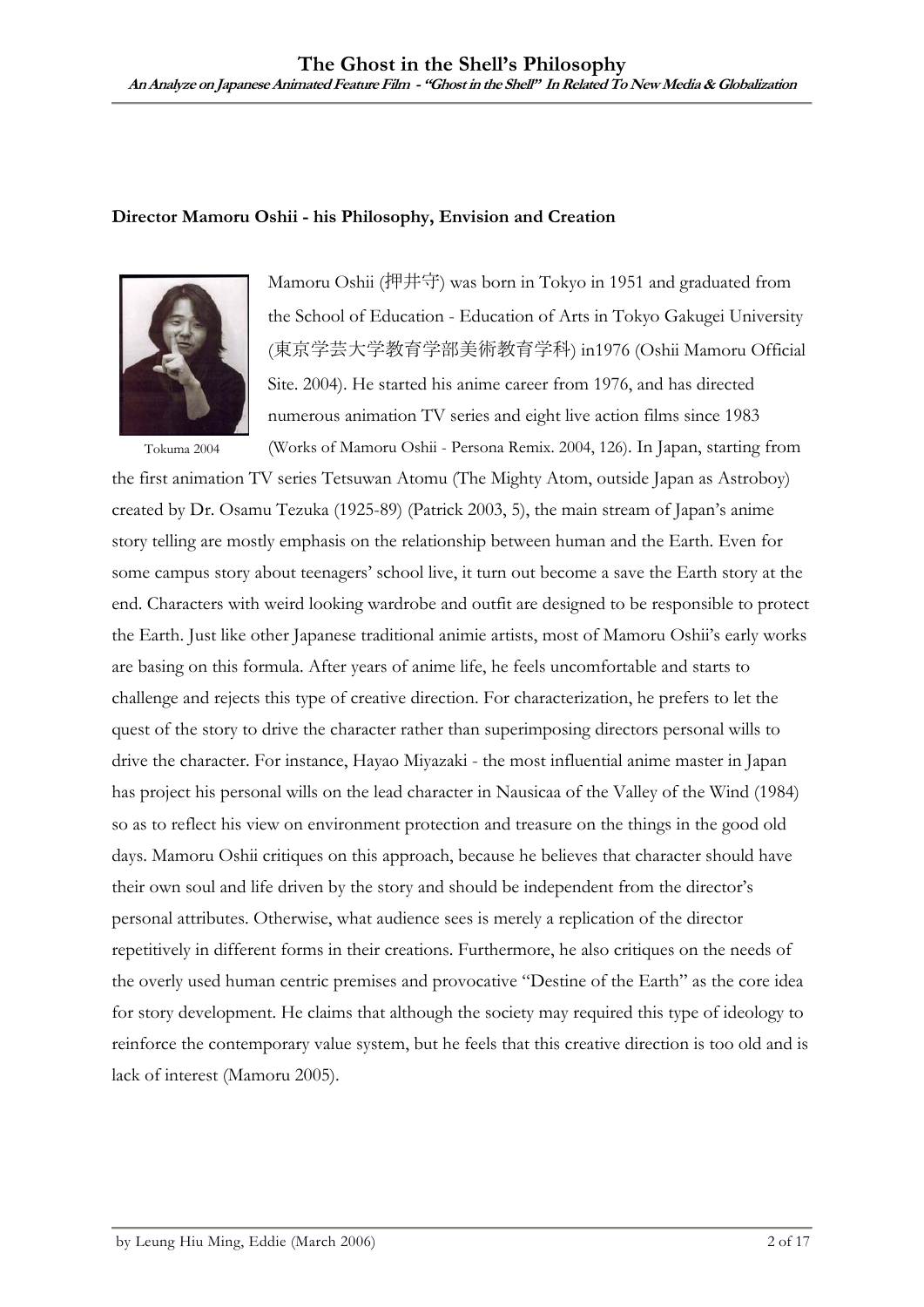#### **Director Mamoru Oshii - his Philosophy, Envision and Creation**



Tokuma 2004

Mamoru Oshii (押井守) was born in Tokyo in 1951 and graduated from the School of Education - Education of Arts in Tokyo Gakugei University (東京学芸大学教育学部美術教育学科) in1976 (Oshii Mamoru Official Site. 2004). He started his anime career from 1976, and has directed numerous animation TV series and eight live action films since 1983

(Works of Mamoru Oshii - Persona Remix. 2004, 126). In Japan, starting from

the first animation TV series Tetsuwan Atomu (The Mighty Atom, outside Japan as Astroboy) created by Dr. Osamu Tezuka (1925-89) (Patrick 2003, 5), the main stream of Japan's anime story telling are mostly emphasis on the relationship between human and the Earth. Even for some campus story about teenagers' school live, it turn out become a save the Earth story at the end. Characters with weird looking wardrobe and outfit are designed to be responsible to protect the Earth. Just like other Japanese traditional animie artists, most of Mamoru Oshii's early works are basing on this formula. After years of anime life, he feels uncomfortable and starts to challenge and rejects this type of creative direction. For characterization, he prefers to let the quest of the story to drive the character rather than superimposing directors personal wills to drive the character. For instance, Hayao Miyazaki - the most influential anime master in Japan has project his personal wills on the lead character in Nausicaa of the Valley of the Wind (1984) so as to reflect his view on environment protection and treasure on the things in the good old days. Mamoru Oshii critiques on this approach, because he believes that character should have their own soul and life driven by the story and should be independent from the director's personal attributes. Otherwise, what audience sees is merely a replication of the director repetitively in different forms in their creations. Furthermore, he also critiques on the needs of the overly used human centric premises and provocative "Destine of the Earth" as the core idea for story development. He claims that although the society may required this type of ideology to reinforce the contemporary value system, but he feels that this creative direction is too old and is lack of interest (Mamoru 2005).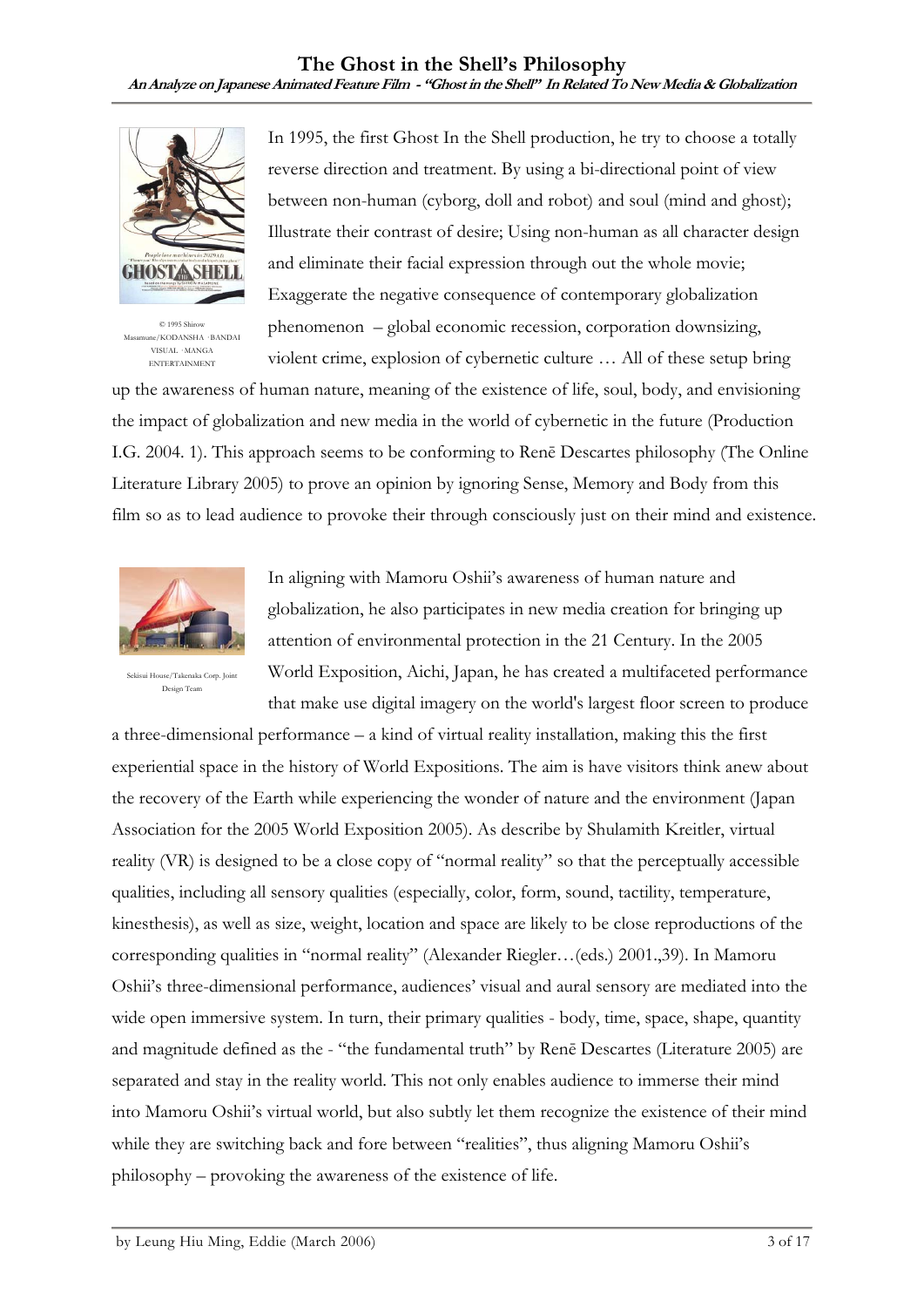

ne/KODANSHA · BANDAI VISUAL · MANGA ENTERTAINMENT

In 1995, the first Ghost In the Shell production, he try to choose a totally reverse direction and treatment. By using a bi-directional point of view between non-human (cyborg, doll and robot) and soul (mind and ghost); Illustrate their contrast of desire; Using non-human as all character design and eliminate their facial expression through out the whole movie; Exaggerate the negative consequence of contemporary globalization phenomenon – global economic recession, corporation downsizing, violent crime, explosion of cybernetic culture … All of these setup bring

up the awareness of human nature, meaning of the existence of life, soul, body, and envisioning the impact of globalization and new media in the world of cybernetic in the future (Production I.G. 2004. 1). This approach seems to be conforming to Renē Descartes philosophy (The Online Literature Library 2005) to prove an opinion by ignoring Sense, Memory and Body from this film so as to lead audience to provoke their through consciously just on their mind and existence.



ui House/Takenaka Corp. Jo Design Team

In aligning with Mamoru Oshii's awareness of human nature and globalization, he also participates in new media creation for bringing up attention of environmental protection in the 21 Century. In the 2005 World Exposition, Aichi, Japan, he has created a multifaceted performance that make use digital imagery on the world's largest floor screen to produce

a three-dimensional performance – a kind of virtual reality installation, making this the first experiential space in the history of World Expositions. The aim is have visitors think anew about the recovery of the Earth while experiencing the wonder of nature and the environment (Japan Association for the 2005 World Exposition 2005). As describe by Shulamith Kreitler, virtual reality (VR) is designed to be a close copy of "normal reality" so that the perceptually accessible qualities, including all sensory qualities (especially, color, form, sound, tactility, temperature, kinesthesis), as well as size, weight, location and space are likely to be close reproductions of the corresponding qualities in "normal reality" (Alexander Riegler…(eds.) 2001.,39). In Mamoru Oshii's three-dimensional performance, audiences' visual and aural sensory are mediated into the wide open immersive system. In turn, their primary qualities - body, time, space, shape, quantity and magnitude defined as the - "the fundamental truth" by Renē Descartes (Literature 2005) are separated and stay in the reality world. This not only enables audience to immerse their mind into Mamoru Oshii's virtual world, but also subtly let them recognize the existence of their mind while they are switching back and fore between "realities", thus aligning Mamoru Oshii's philosophy – provoking the awareness of the existence of life.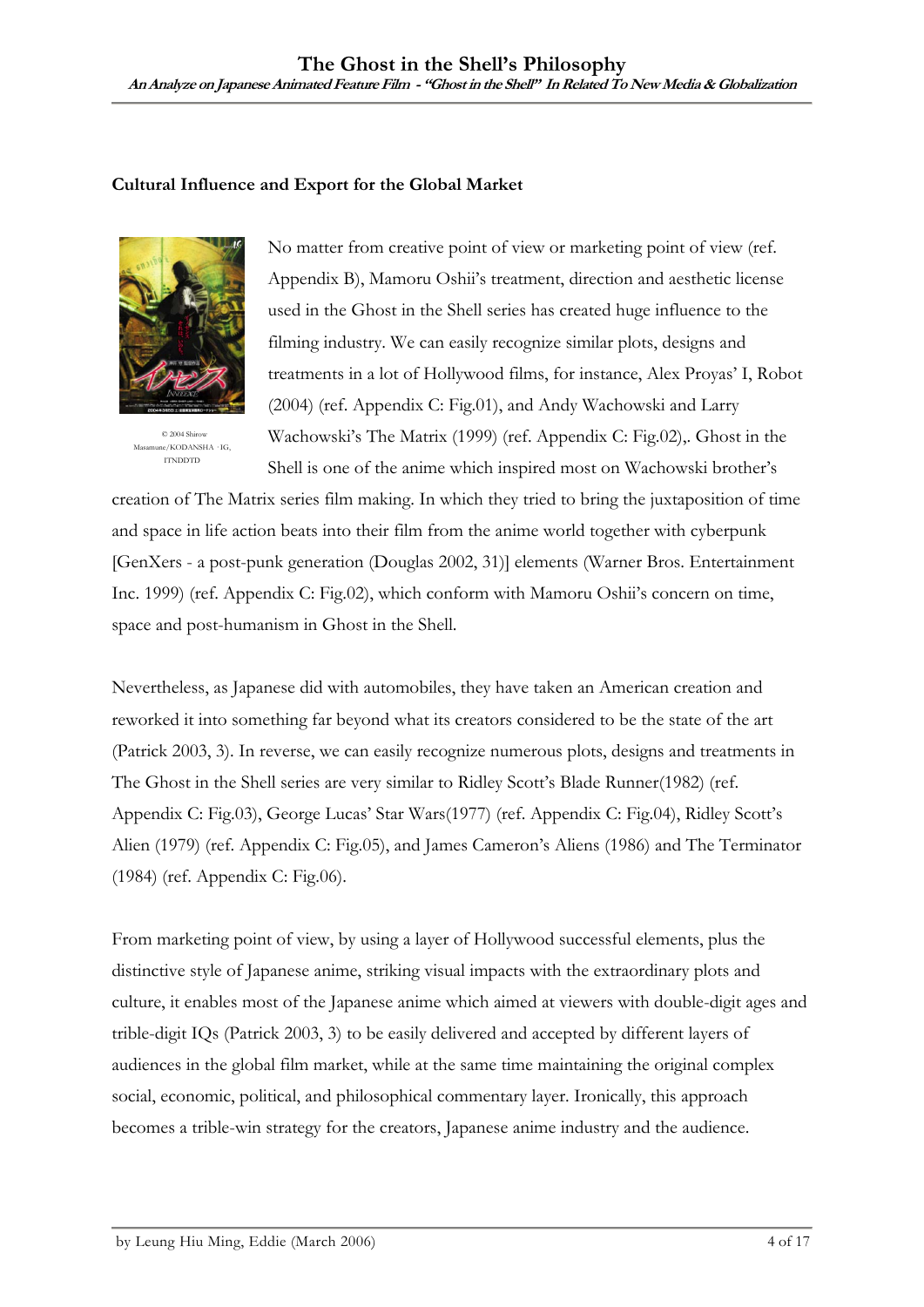#### **Cultural Influence and Export for the Global Market**



© 2004 Shirow me/KODANSHA · IG, ITNDDTD

No matter from creative point of view or marketing point of view (ref. Appendix B), Mamoru Oshii's treatment, direction and aesthetic license used in the Ghost in the Shell series has created huge influence to the filming industry. We can easily recognize similar plots, designs and treatments in a lot of Hollywood films, for instance, Alex Proyas' I, Robot (2004) (ref. Appendix C: Fig.01), and Andy Wachowski and Larry Wachowski's The Matrix (1999) (ref. Appendix C: Fig.02),. Ghost in the Shell is one of the anime which inspired most on Wachowski brother's

creation of The Matrix series film making. In which they tried to bring the juxtaposition of time and space in life action beats into their film from the anime world together with cyberpunk [GenXers - a post-punk generation (Douglas 2002, 31)] elements (Warner Bros. Entertainment Inc. 1999) (ref. Appendix C: Fig.02), which conform with Mamoru Oshii's concern on time, space and post-humanism in Ghost in the Shell.

Nevertheless, as Japanese did with automobiles, they have taken an American creation and reworked it into something far beyond what its creators considered to be the state of the art (Patrick 2003, 3). In reverse, we can easily recognize numerous plots, designs and treatments in The Ghost in the Shell series are very similar to Ridley Scott's Blade Runner(1982) (ref. Appendix C: Fig.03), George Lucas' Star Wars(1977) (ref. Appendix C: Fig.04), Ridley Scott's Alien (1979) (ref. Appendix C: Fig.05), and James Cameron's Aliens (1986) and The Terminator (1984) (ref. Appendix C: Fig.06).

From marketing point of view, by using a layer of Hollywood successful elements, plus the distinctive style of Japanese anime, striking visual impacts with the extraordinary plots and culture, it enables most of the Japanese anime which aimed at viewers with double-digit ages and trible-digit IQs (Patrick 2003, 3) to be easily delivered and accepted by different layers of audiences in the global film market, while at the same time maintaining the original complex social, economic, political, and philosophical commentary layer. Ironically, this approach becomes a trible-win strategy for the creators, Japanese anime industry and the audience.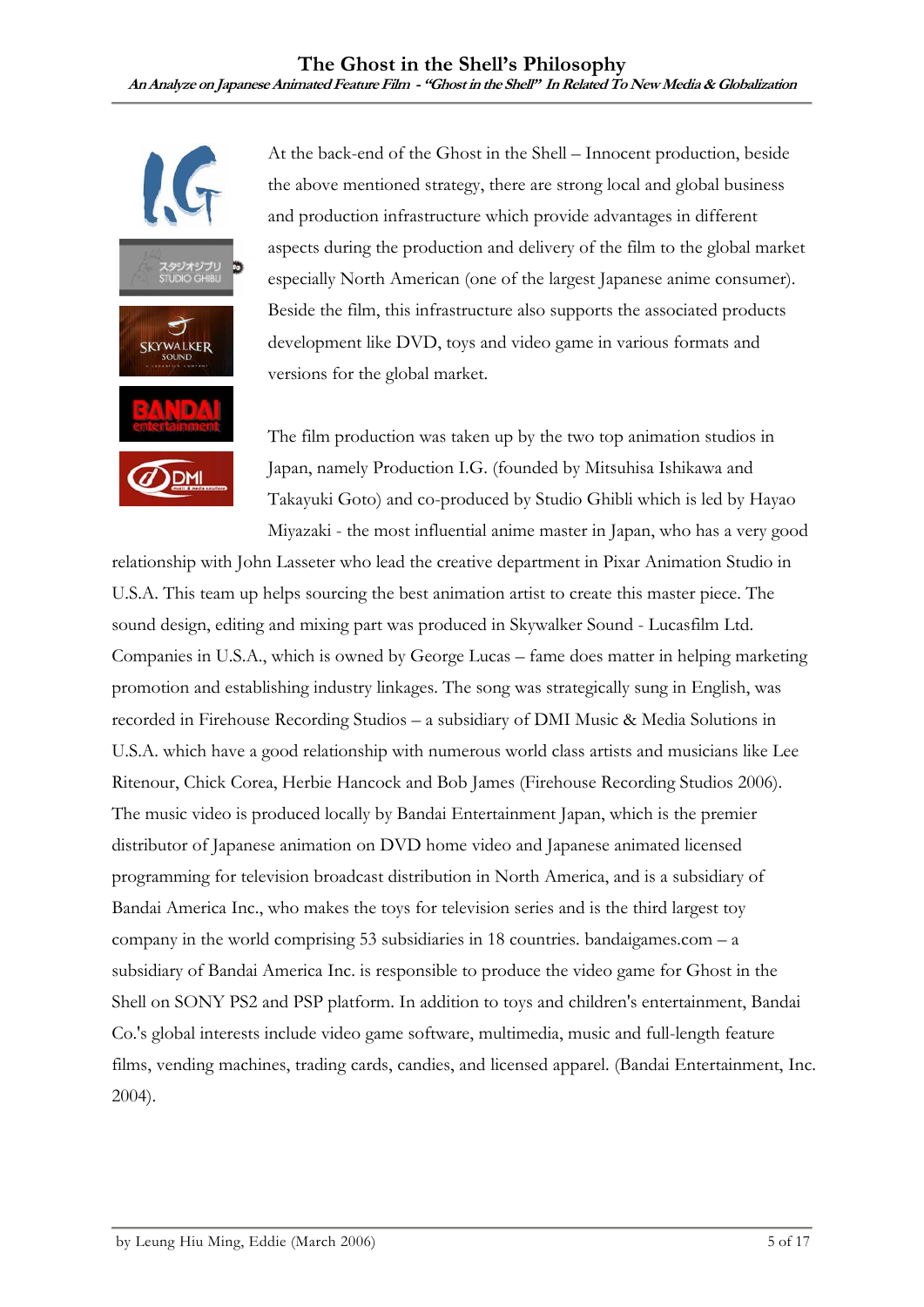

At the back-end of the Ghost in the Shell – Innocent production, beside the above mentioned strategy, there are strong local and global business and production infrastructure which provide advantages in different aspects during the production and delivery of the film to the global market especially North American (one of the largest Japanese anime consumer). Beside the film, this infrastructure also supports the associated products development like DVD, toys and video game in various formats and versions for the global market.

The film production was taken up by the two top animation studios in Japan, namely Production I.G. (founded by Mitsuhisa Ishikawa and Takayuki Goto) and co-produced by Studio Ghibli which is led by Hayao Miyazaki - the most influential anime master in Japan, who has a very good

relationship with John Lasseter who lead the creative department in Pixar Animation Studio in U.S.A. This team up helps sourcing the best animation artist to create this master piece. The sound design, editing and mixing part was produced in Skywalker Sound - Lucasfilm Ltd. Companies in U.S.A., which is owned by George Lucas – fame does matter in helping marketing promotion and establishing industry linkages. The song was strategically sung in English, was recorded in Firehouse Recording Studios – a subsidiary of DMI Music & Media Solutions in U.S.A. which have a good relationship with numerous world class artists and musicians like Lee Ritenour, Chick Corea, Herbie Hancock and Bob James (Firehouse Recording Studios 2006). The music video is produced locally by Bandai Entertainment Japan, which is the premier distributor of Japanese animation on DVD home video and Japanese animated licensed programming for television broadcast distribution in North America, and is a subsidiary of Bandai America Inc., who makes the toys for television series and is the third largest toy company in the world comprising 53 subsidiaries in 18 countries. bandaigames.com – a subsidiary of Bandai America Inc. is responsible to produce the video game for Ghost in the Shell on SONY PS2 and PSP platform. In addition to toys and children's entertainment, Bandai Co.'s global interests include video game software, multimedia, music and full-length feature films, vending machines, trading cards, candies, and licensed apparel. (Bandai Entertainment, Inc. 2004).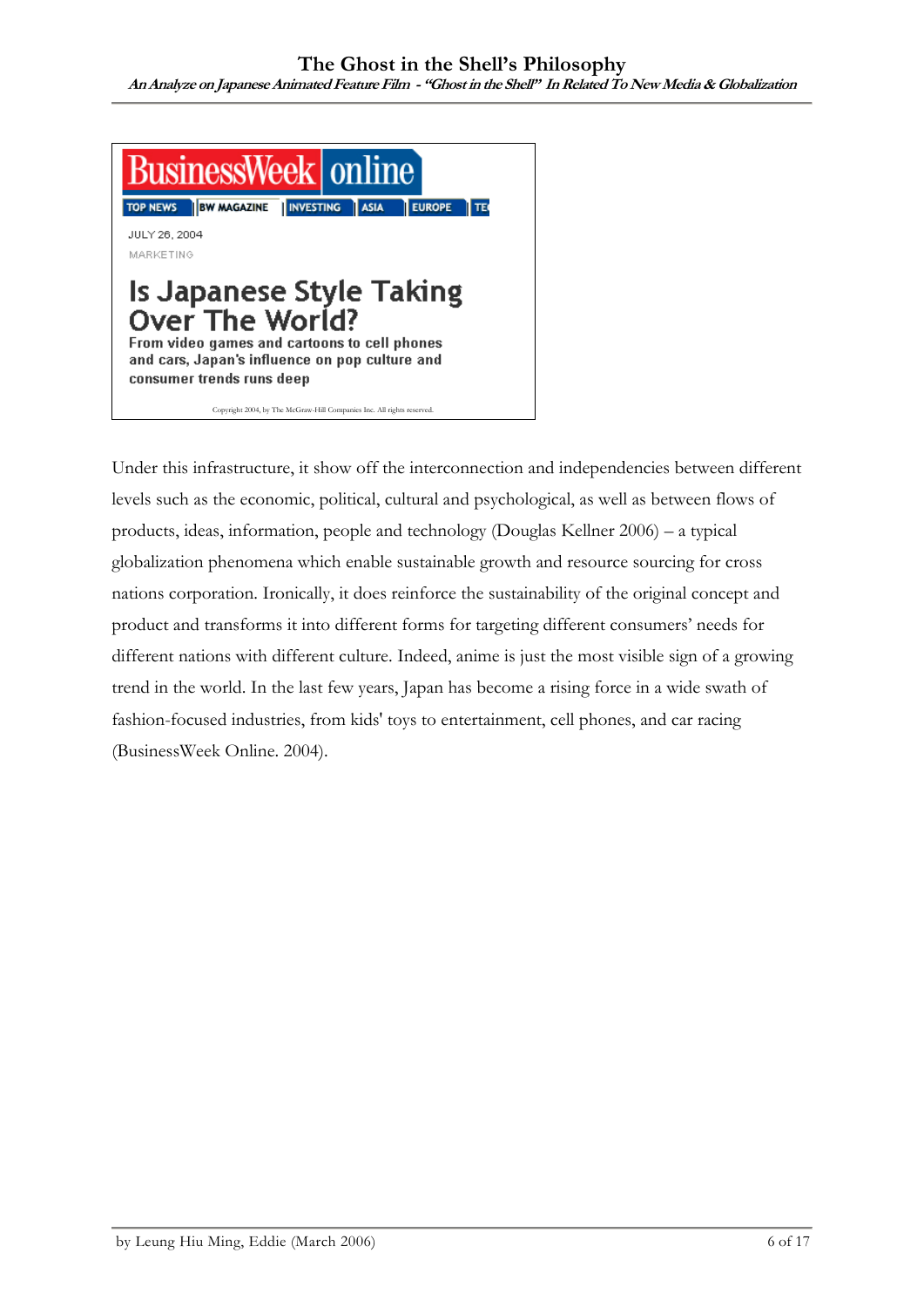

Under this infrastructure, it show off the interconnection and independencies between different levels such as the economic, political, cultural and psychological, as well as between flows of products, ideas, information, people and technology (Douglas Kellner 2006) – a typical globalization phenomena which enable sustainable growth and resource sourcing for cross nations corporation. Ironically, it does reinforce the sustainability of the original concept and product and transforms it into different forms for targeting different consumers' needs for different nations with different culture. Indeed, anime is just the most visible sign of a growing trend in the world. In the last few years, Japan has become a rising force in a wide swath of fashion-focused industries, from kids' toys to entertainment, cell phones, and car racing (BusinessWeek Online. 2004).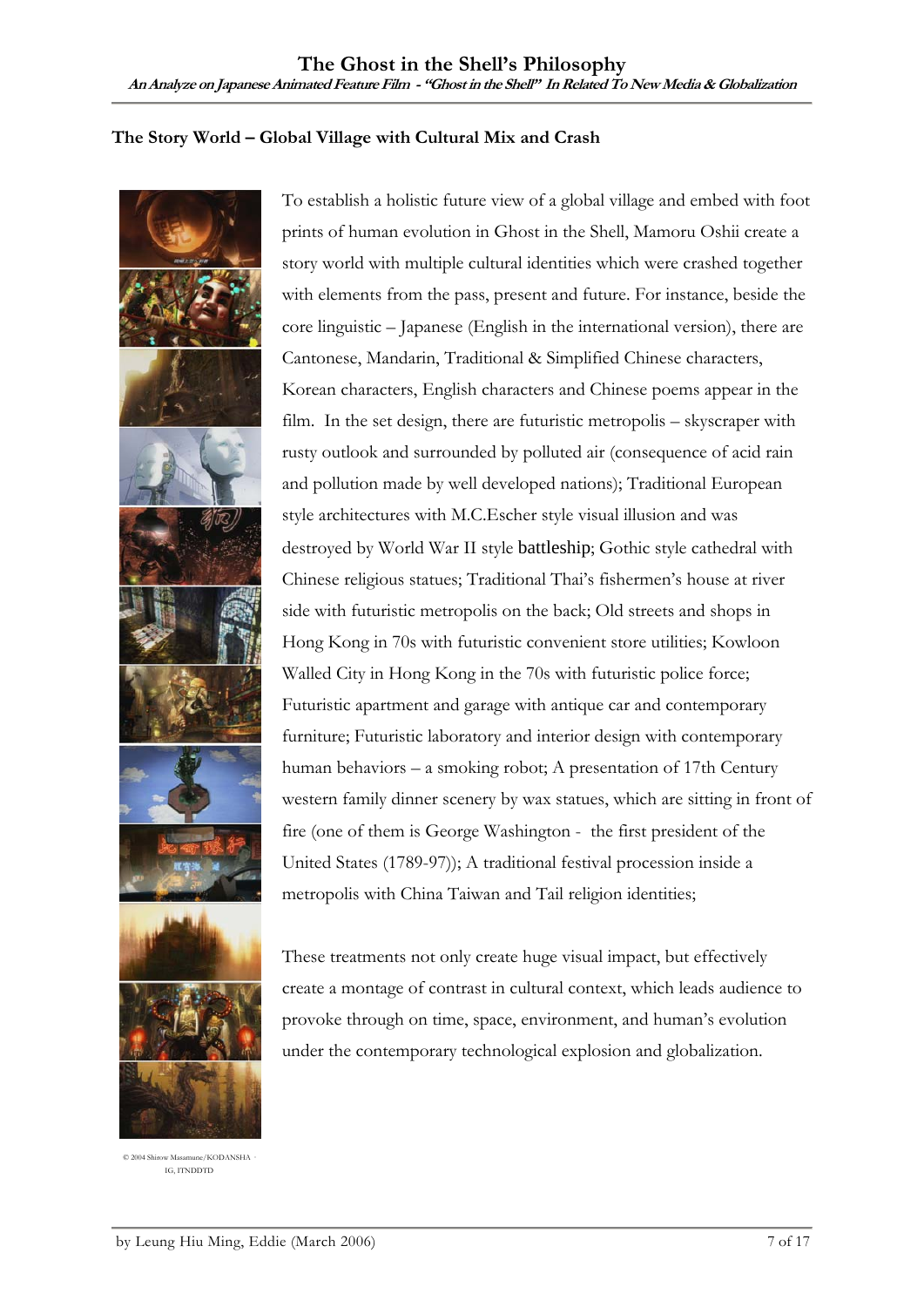## **The Story World – Global Village with Cultural Mix and Crash**



© 2004 Shirow Masamune/KODANSHA · IG, ITNDDTD

To establish a holistic future view of a global village and embed with foot prints of human evolution in Ghost in the Shell, Mamoru Oshii create a story world with multiple cultural identities which were crashed together with elements from the pass, present and future. For instance, beside the core linguistic – Japanese (English in the international version), there are Cantonese, Mandarin, Traditional & Simplified Chinese characters, Korean characters, English characters and Chinese poems appear in the film. In the set design, there are futuristic metropolis – skyscraper with rusty outlook and surrounded by polluted air (consequence of acid rain and pollution made by well developed nations); Traditional European style architectures with M.C.Escher style visual illusion and was destroyed by World War II style battleship; Gothic style cathedral with Chinese religious statues; Traditional Thai's fishermen's house at river side with futuristic metropolis on the back; Old streets and shops in Hong Kong in 70s with futuristic convenient store utilities; Kowloon Walled City in Hong Kong in the 70s with futuristic police force; Futuristic apartment and garage with antique car and contemporary furniture; Futuristic laboratory and interior design with contemporary human behaviors – a smoking robot; A presentation of 17th Century western family dinner scenery by wax statues, which are sitting in front of fire (one of them is George Washington - the first president of the United States (1789-97)); A traditional festival procession inside a metropolis with China Taiwan and Tail religion identities;

These treatments not only create huge visual impact, but effectively create a montage of contrast in cultural context, which leads audience to provoke through on time, space, environment, and human's evolution under the contemporary technological explosion and globalization.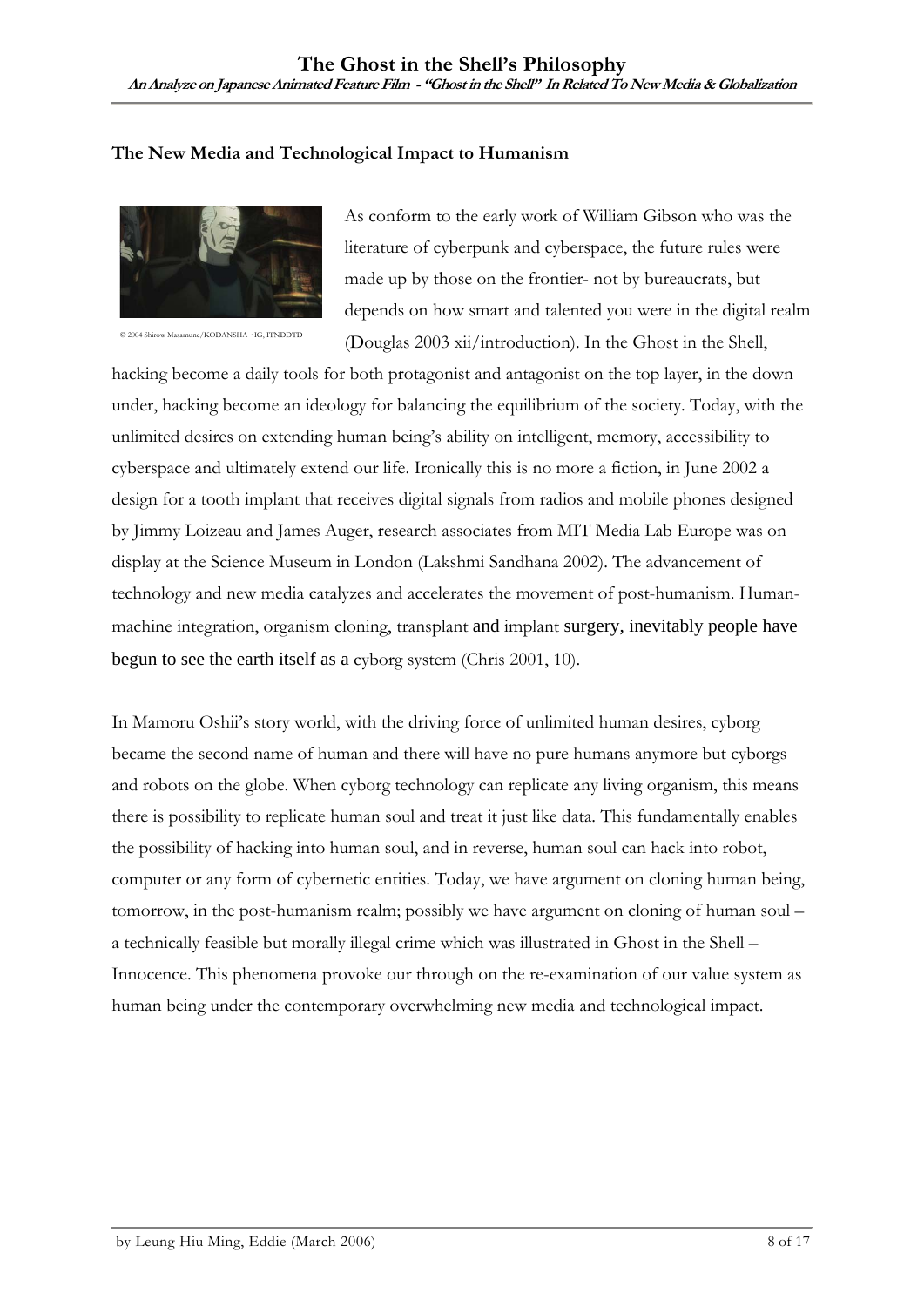## **The New Media and Technological Impact to Humanism**



As conform to the early work of William Gibson who was the literature of cyberpunk and cyberspace, the future rules were made up by those on the frontier- not by bureaucrats, but depends on how smart and talented you were in the digital realm (Douglas 2003 xii/introduction). In the Ghost in the Shell,

© 2004 Shirow Masamune/KODANSHA · IG, ITNDDTD

hacking become a daily tools for both protagonist and antagonist on the top layer, in the down under, hacking become an ideology for balancing the equilibrium of the society. Today, with the unlimited desires on extending human being's ability on intelligent, memory, accessibility to cyberspace and ultimately extend our life. Ironically this is no more a fiction, in June 2002 a design for a tooth implant that receives digital signals from radios and mobile phones designed by Jimmy Loizeau and James Auger, research associates from MIT Media Lab Europe was on display at the Science Museum in London (Lakshmi Sandhana 2002). The advancement of technology and new media catalyzes and accelerates the movement of post-humanism. Humanmachine integration, organism cloning, transplant and implant surgery, inevitably people have begun to see the earth itself as a cyborg system (Chris 2001, 10).

In Mamoru Oshii's story world, with the driving force of unlimited human desires, cyborg became the second name of human and there will have no pure humans anymore but cyborgs and robots on the globe. When cyborg technology can replicate any living organism, this means there is possibility to replicate human soul and treat it just like data. This fundamentally enables the possibility of hacking into human soul, and in reverse, human soul can hack into robot, computer or any form of cybernetic entities. Today, we have argument on cloning human being, tomorrow, in the post-humanism realm; possibly we have argument on cloning of human soul – a technically feasible but morally illegal crime which was illustrated in Ghost in the Shell – Innocence. This phenomena provoke our through on the re-examination of our value system as human being under the contemporary overwhelming new media and technological impact.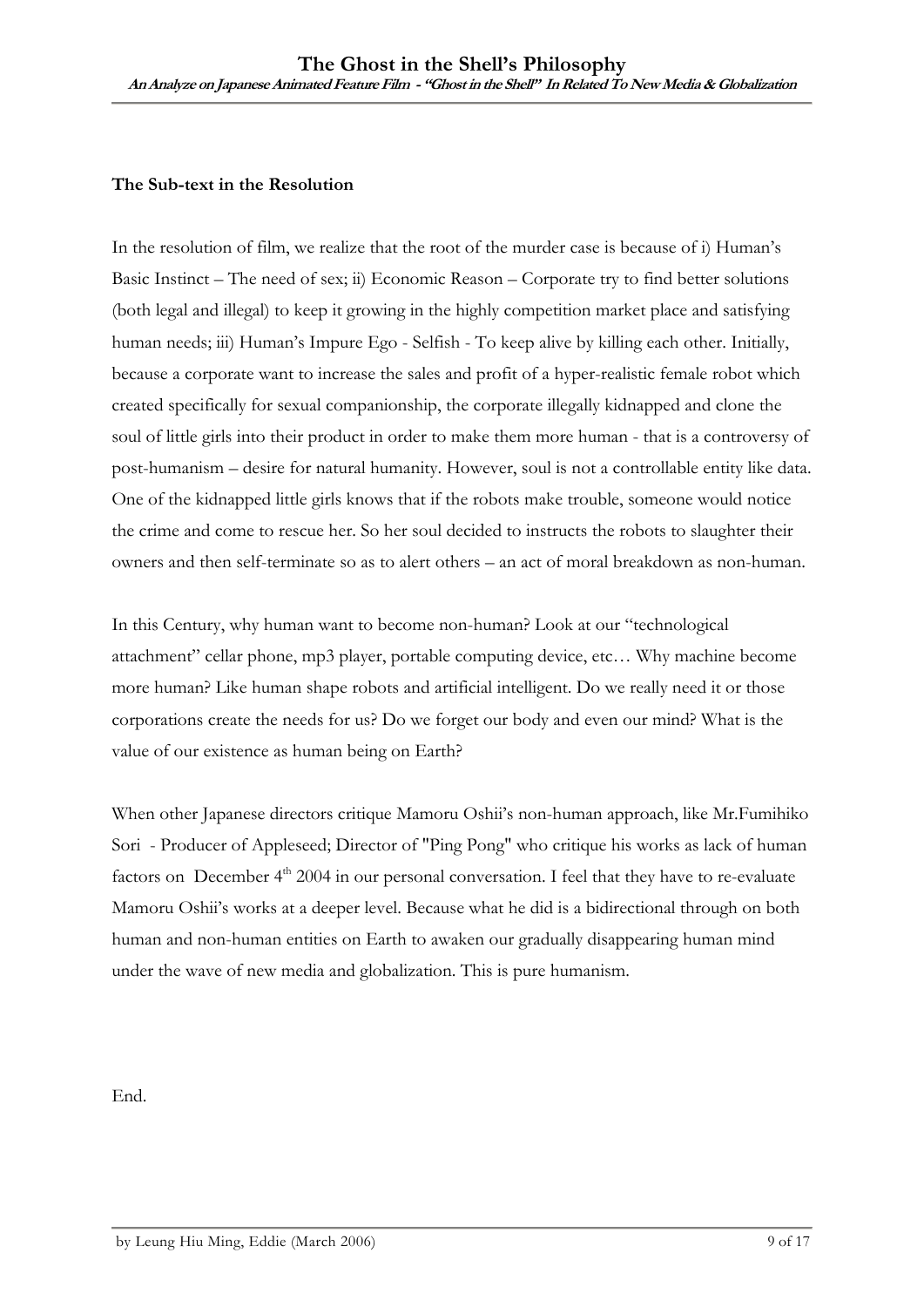#### **The Sub-text in the Resolution**

In the resolution of film, we realize that the root of the murder case is because of i) Human's Basic Instinct – The need of sex; ii) Economic Reason – Corporate try to find better solutions (both legal and illegal) to keep it growing in the highly competition market place and satisfying human needs; iii) Human's Impure Ego - Selfish - To keep alive by killing each other. Initially, because a corporate want to increase the sales and profit of a hyper-realistic female robot which created specifically for sexual companionship, the corporate illegally kidnapped and clone the soul of little girls into their product in order to make them more human - that is a controversy of post-humanism – desire for natural humanity. However, soul is not a controllable entity like data. One of the kidnapped little girls knows that if the robots make trouble, someone would notice the crime and come to rescue her. So her soul decided to instructs the robots to slaughter their owners and then self-terminate so as to alert others – an act of moral breakdown as non-human.

In this Century, why human want to become non-human? Look at our "technological attachment" cellar phone, mp3 player, portable computing device, etc… Why machine become more human? Like human shape robots and artificial intelligent. Do we really need it or those corporations create the needs for us? Do we forget our body and even our mind? What is the value of our existence as human being on Earth?

When other Japanese directors critique Mamoru Oshii's non-human approach, like Mr.Fumihiko Sori - Producer of Appleseed; Director of "Ping Pong" who critique his works as lack of human factors on December  $4<sup>th</sup>$  2004 in our personal conversation. I feel that they have to re-evaluate Mamoru Oshii's works at a deeper level. Because what he did is a bidirectional through on both human and non-human entities on Earth to awaken our gradually disappearing human mind under the wave of new media and globalization. This is pure humanism.

End.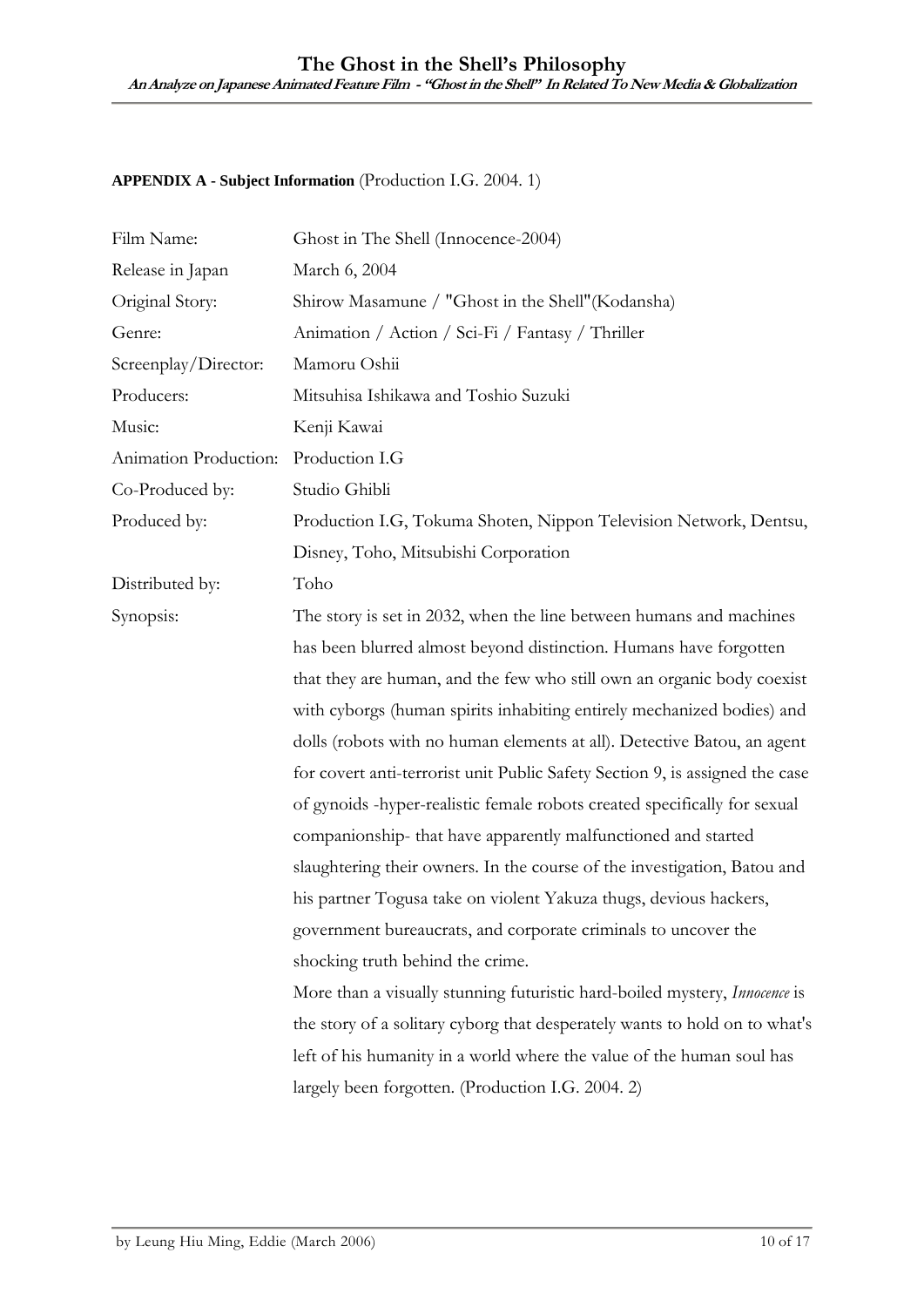#### **APPENDIX A - Subject Information** (Production I.G. 2004. 1)

| Film Name:            | Ghost in The Shell (Innocence-2004)                                          |
|-----------------------|------------------------------------------------------------------------------|
| Release in Japan      | March 6, 2004                                                                |
| Original Story:       | Shirow Masamune / "Ghost in the Shell" (Kodansha)                            |
| Genre:                | Animation / Action / Sci-Fi / Fantasy / Thriller                             |
| Screenplay/Director:  | Mamoru Oshii                                                                 |
| Producers:            | Mitsuhisa Ishikawa and Toshio Suzuki                                         |
| Music:                | Kenji Kawai                                                                  |
| Animation Production: | Production I.G                                                               |
| Co-Produced by:       | Studio Ghibli                                                                |
| Produced by:          | Production I.G, Tokuma Shoten, Nippon Television Network, Dentsu,            |
|                       | Disney, Toho, Mitsubishi Corporation                                         |
| Distributed by:       | Toho                                                                         |
| Synopsis:             | The story is set in 2032, when the line between humans and machines          |
|                       | has been blurred almost beyond distinction. Humans have forgotten            |
|                       | that they are human, and the few who still own an organic body coexist       |
|                       | with cyborgs (human spirits inhabiting entirely mechanized bodies) and       |
|                       | dolls (robots with no human elements at all). Detective Batou, an agent      |
|                       | for covert anti-terrorist unit Public Safety Section 9, is assigned the case |
|                       | of gynoids -hyper-realistic female robots created specifically for sexual    |
|                       | companionship-that have apparently malfunctioned and started                 |
|                       | slaughtering their owners. In the course of the investigation, Batou and     |
|                       | his partner Togusa take on violent Yakuza thugs, devious hackers,            |
|                       | government bureaucrats, and corporate criminals to uncover the               |
|                       | shocking truth behind the crime.                                             |
|                       | More than a visually stunning futuristic hard-boiled mystery, Innocence is   |
|                       | the story of a solitary cyborg that desperately wants to hold on to what's   |
|                       | left of his humanity in a world where the value of the human soul has        |
|                       | largely been forgotten. (Production I.G. 2004. 2)                            |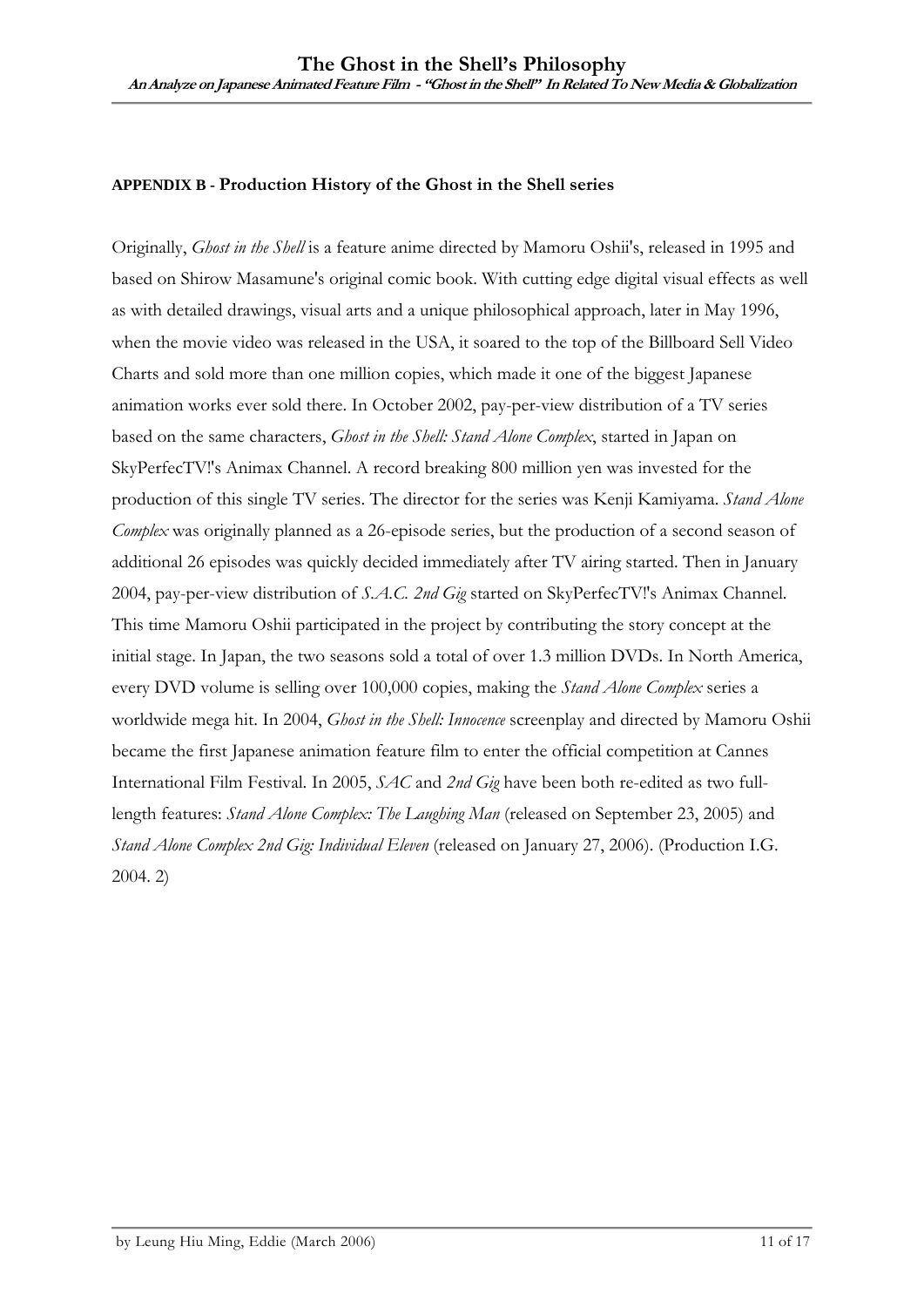#### **APPENDIX B - Production History of the Ghost in the Shell series**

Originally, *Ghost in the Shell* is a feature anime directed by Mamoru Oshii's, released in 1995 and based on Shirow Masamune's original comic book. With cutting edge digital visual effects as well as with detailed drawings, visual arts and a unique philosophical approach, later in May 1996, when the movie video was released in the USA, it soared to the top of the Billboard Sell Video Charts and sold more than one million copies, which made it one of the biggest Japanese animation works ever sold there. In October 2002, pay-per-view distribution of a TV series based on the same characters, *Ghost in the Shell: Stand Alone Complex*, started in Japan on SkyPerfecTV!'s Animax Channel. A record breaking 800 million yen was invested for the production of this single TV series. The director for the series was Kenji Kamiyama. *Stand Alone Complex* was originally planned as a 26-episode series, but the production of a second season of additional 26 episodes was quickly decided immediately after TV airing started. Then in January 2004, pay-per-view distribution of *S.A.C. 2nd Gig* started on SkyPerfecTV!'s Animax Channel. This time Mamoru Oshii participated in the project by contributing the story concept at the initial stage. In Japan, the two seasons sold a total of over 1.3 million DVDs. In North America, every DVD volume is selling over 100,000 copies, making the *Stand Alone Complex* series a worldwide mega hit. In 2004, *Ghost in the Shell: Innocence* screenplay and directed by Mamoru Oshii became the first Japanese animation feature film to enter the official competition at Cannes International Film Festival. In 2005, *SAC* and *2nd Gig* have been both re-edited as two fulllength features: *Stand Alone Complex: The Laughing Man* (released on September 23, 2005) and *Stand Alone Complex 2nd Gig: Individual Eleven* (released on January 27, 2006). (Production I.G. 2004. 2)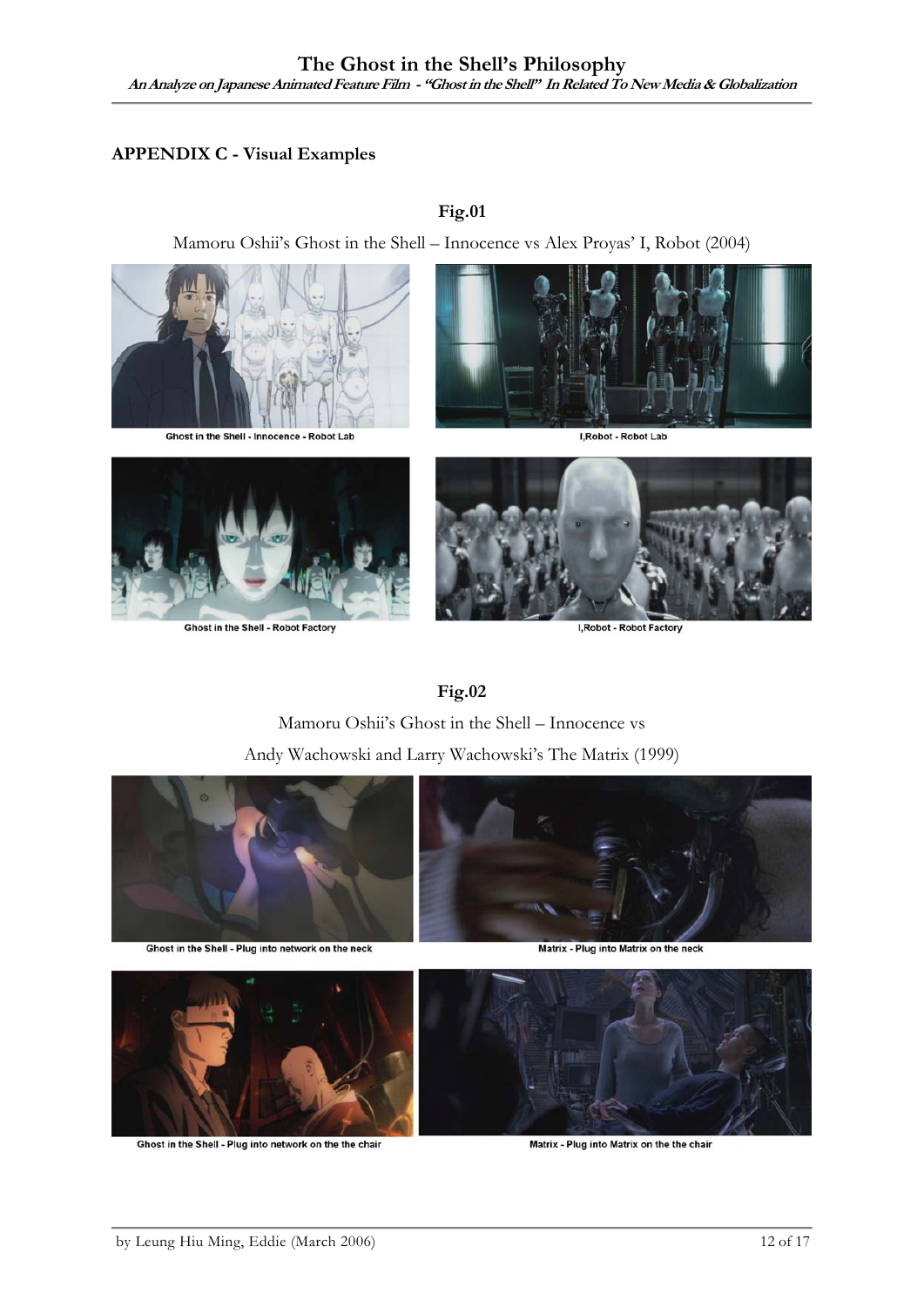## **APPENDIX C - Visual Examples**

#### **Fig.01**

Mamoru Oshii's Ghost in the Shell – Innocence vs Alex Proyas' I, Robot (2004)





I, Robot - Robot Lab



**Ghost in the Shell - Robot Factory** 



**I, Robot - Robot Factory** 

# **Fig.02**

Mamoru Oshii's Ghost in the Shell – Innocence vs Andy Wachowski and Larry Wachowski's The Matrix (1999)



Ghost in the Shell - Plug into network on the neck





Ghost in the Shell - Plug into network on the the chair

Matrix - Plug into Matrix on the the chair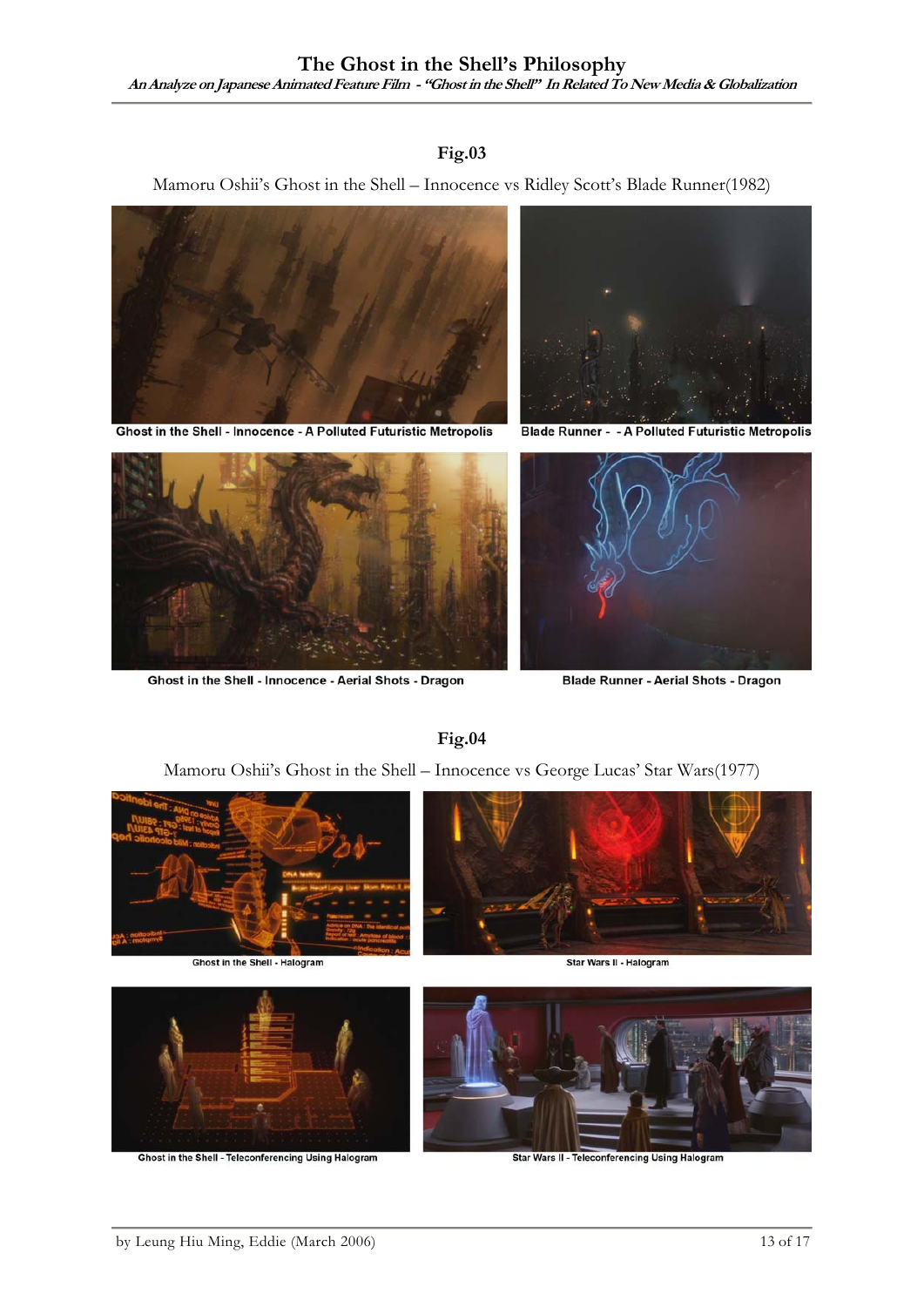# **Fig.03**

Mamoru Oshii's Ghost in the Shell – Innocence vs Ridley Scott's Blade Runner(1982)



Ghost in the Shell - Innocence - A Polluted Futuristic Metropolis



Ghost in the Shell - Innocence - Aerial Shots - Dragon



**Blade Runner - - A Polluted Futuristic Metropolis** 



**Blade Runner - Aerial Shots - Dragon** 

## **Fig.04**

Mamoru Oshii's Ghost in the Shell – Innocence vs George Lucas' Star Wars(1977)





Ghost in the Shell - Teleconferencing Using Halogram



Star Wars II - Teleconferencing Using Halogram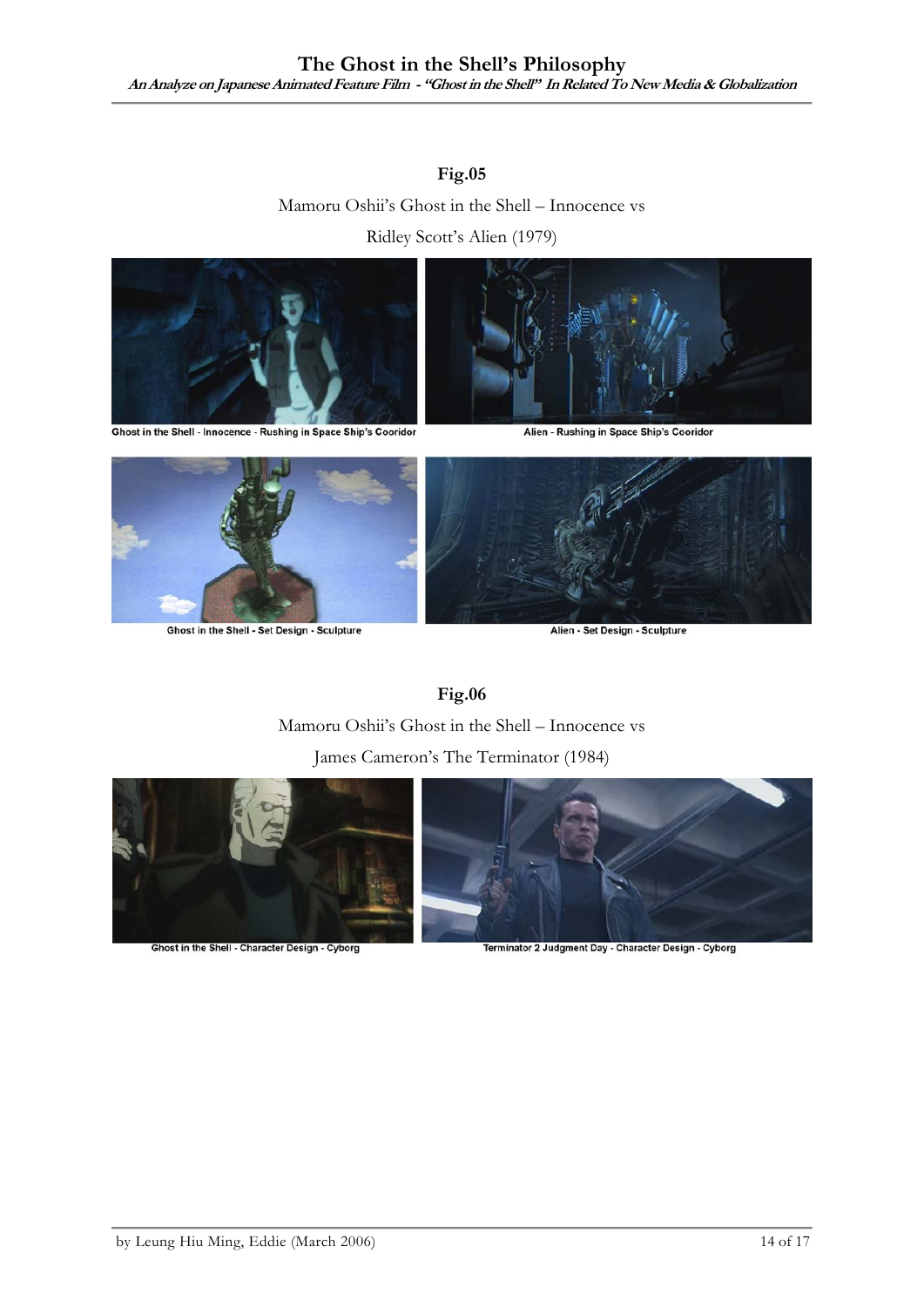## **Fig.05**

Mamoru Oshii's Ghost in the Shell – Innocence vs

Ridley Scott's Alien (1979)



Ghost in the Shell - Innocence - Rushing in Space Ship's Cooridor



Ghost in the Shell - Set Design - Sculpture





Alien - Set Design - Sculpture

# **Fig.06**

Mamoru Oshii's Ghost in the Shell – Innocence vs

## James Cameron's The Terminator (1984)



Ghost in the Shell - Character Design - Cyborg



Terminator 2 Judgment Day - Character Design - Cyborg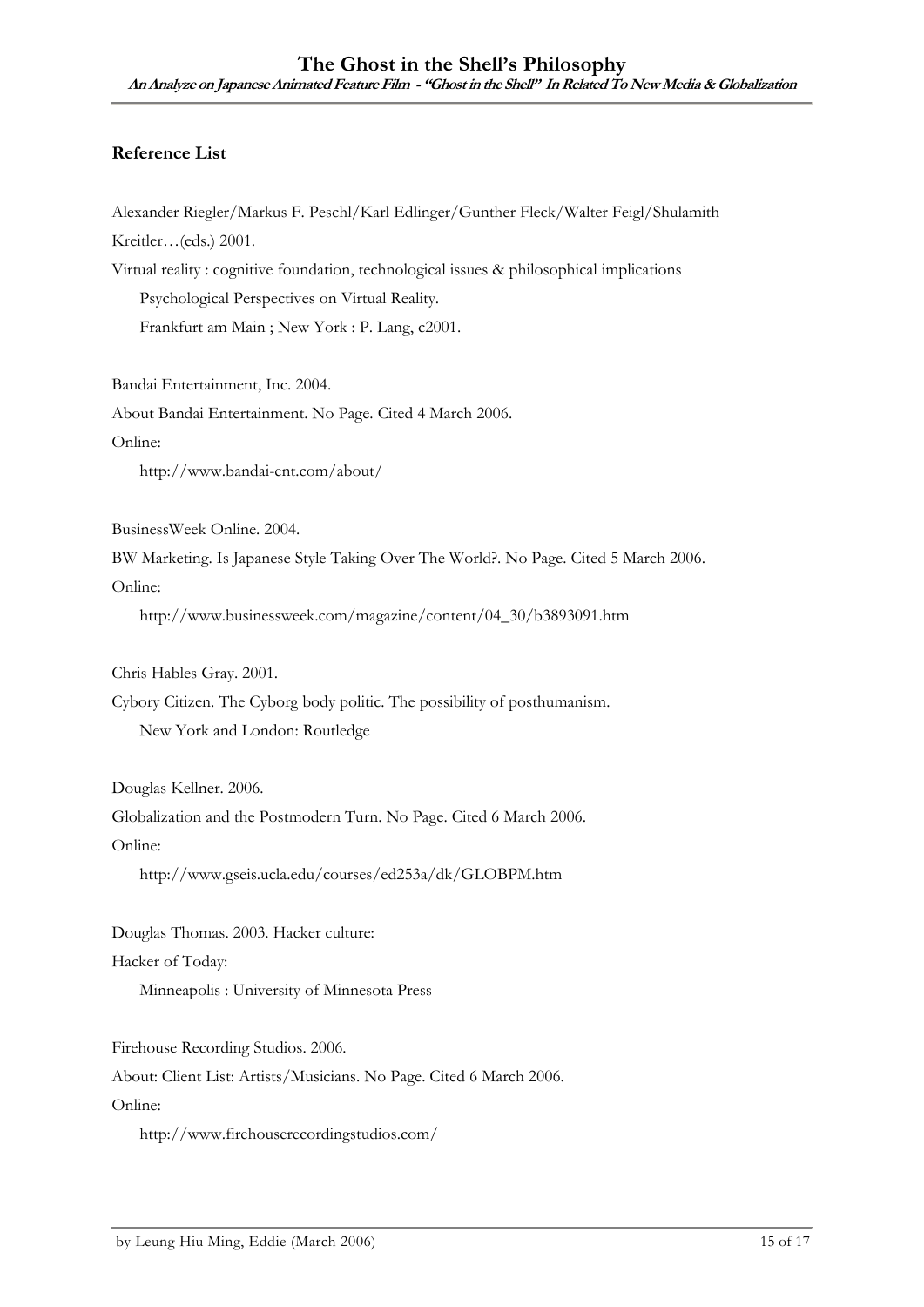## **Reference List**

Alexander Riegler/Markus F. Peschl/Karl Edlinger/Gunther Fleck/Walter Feigl/Shulamith Kreitler…(eds.) 2001.

Virtual reality : cognitive foundation, technological issues & philosophical implications

Psychological Perspectives on Virtual Reality.

Frankfurt am Main ; New York : P. Lang, c2001.

Bandai Entertainment, Inc. 2004.

About Bandai Entertainment. No Page. Cited 4 March 2006.

Online:

http://www.bandai-ent.com/about/

BusinessWeek Online. 2004.

BW Marketing. Is Japanese Style Taking Over The World?. No Page. Cited 5 March 2006.

Online:

http://www.businessweek.com/magazine/content/04\_30/b3893091.htm

Chris Hables Gray. 2001.

Cybory Citizen. The Cyborg body politic. The possibility of posthumanism. New York and London: Routledge

Douglas Kellner. 2006.

Globalization and the Postmodern Turn. No Page. Cited 6 March 2006.

Online:

http://www.gseis.ucla.edu/courses/ed253a/dk/GLOBPM.htm

Douglas Thomas. 2003. Hacker culture:

Hacker of Today:

Minneapolis : University of Minnesota Press

Firehouse Recording Studios. 2006.

About: Client List: Artists/Musicians. No Page. Cited 6 March 2006.

Online:

http://www.firehouserecordingstudios.com/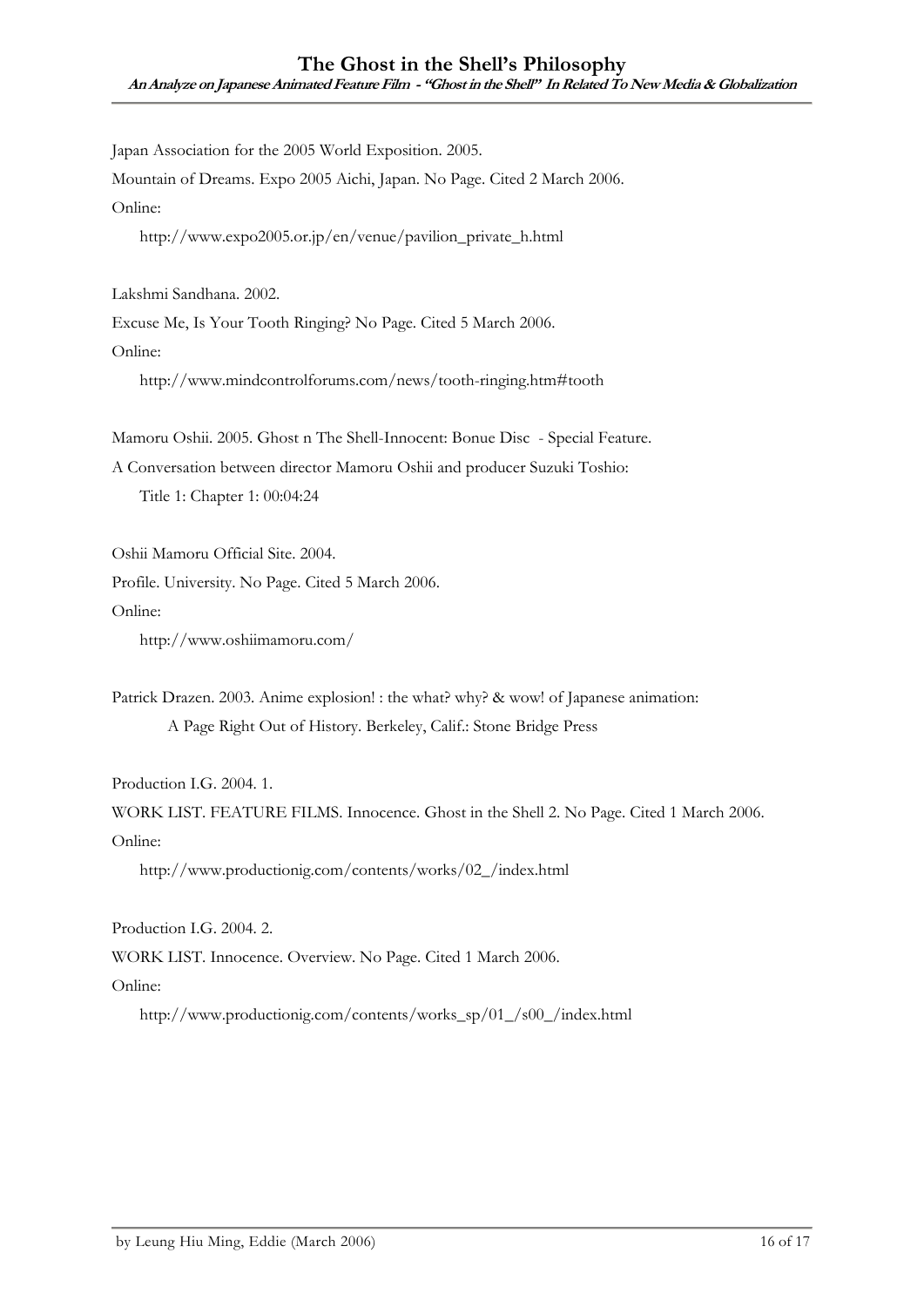Japan Association for the 2005 World Exposition. 2005.

Mountain of Dreams. Expo 2005 Aichi, Japan. No Page. Cited 2 March 2006.

Online:

http://www.expo2005.or.jp/en/venue/pavilion\_private\_h.html

Lakshmi Sandhana. 2002.

Excuse Me, Is Your Tooth Ringing? No Page. Cited 5 March 2006.

Online:

http://www.mindcontrolforums.com/news/tooth-ringing.htm#tooth

Mamoru Oshii. 2005. Ghost n The Shell-Innocent: Bonue Disc - Special Feature.

A Conversation between director Mamoru Oshii and producer Suzuki Toshio:

Title 1: Chapter 1: 00:04:24

Oshii Mamoru Official Site. 2004. Profile. University. No Page. Cited 5 March 2006. Online:

http://www.oshiimamoru.com/

Patrick Drazen. 2003. Anime explosion! : the what? why? & wow! of Japanese animation: A Page Right Out of History. Berkeley, Calif.: Stone Bridge Press

Production I.G. 2004. 1.

WORK LIST. FEATURE FILMS. Innocence. Ghost in the Shell 2. No Page. Cited 1 March 2006. Online:

http://www.productionig.com/contents/works/02\_/index.html

Production I.G. 2004. 2.

WORK LIST. Innocence. Overview. No Page. Cited 1 March 2006.

#### Online:

http://www.productionig.com/contents/works\_sp/01\_/s00\_/index.html